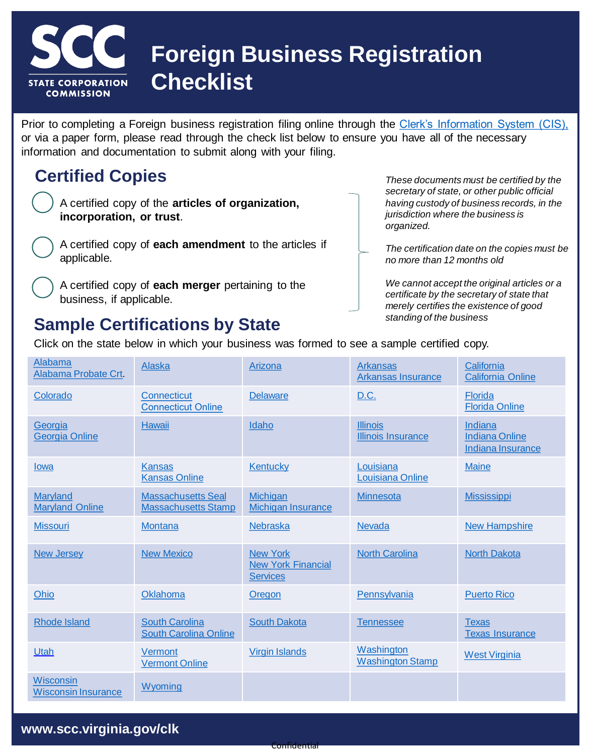

# **Foreign Business Registration Checklist**

Prior to completing a Foreign business registration filing online through the Clerk's Information System (CIS), or via a paper form, please read through the check list below to ensure you have all of the necessary information and documentation to submit along with your filing.

### **Certified Copies**

A certified copy of the **articles of organization, incorporation, or trust**.

A certified copy of **each amendment** to the articles if applicable.

A certified copy of **each merger** pertaining to the business, if applicable.

# **Sample Certifications by State**

*These documents must be certified by the secretary of state, or other public official having custody of business records, in the jurisdiction where the business is organized.* 

*The certification date on the copies must be no more than 12 months old*

*We cannot accept the original articles or a certificate by the secretary of state that merely certifies the existence of good standing of the business*

| Alabama<br>Alabama Probate Crt.         | Alaska                                                  | Arizona                                                         | <b>Arkansas</b><br><b>Arkansas Insurance</b> | California<br><b>California Online</b>                |
|-----------------------------------------|---------------------------------------------------------|-----------------------------------------------------------------|----------------------------------------------|-------------------------------------------------------|
| Colorado                                | <b>Connecticut</b><br><b>Connecticut Online</b>         | <b>Delaware</b>                                                 | D.C.                                         | Florida<br><b>Florida Online</b>                      |
| Georgia<br><b>Georgia Online</b>        | <b>Hawaii</b>                                           | Idaho                                                           | <b>Illinois</b><br><b>Illinois Insurance</b> | Indiana<br><b>Indiana Online</b><br>Indiana Insurance |
| lowa                                    | <b>Kansas</b><br><b>Kansas Online</b>                   | Kentucky                                                        | Louisiana<br>Louisiana Online                | <b>Maine</b>                                          |
| Maryland<br><b>Maryland Online</b>      | <b>Massachusetts Seal</b><br><b>Massachusetts Stamp</b> | <b>Michigan</b><br><b>Michigan Insurance</b>                    | <b>Minnesota</b>                             | <b>Mississippi</b>                                    |
| <b>Missouri</b>                         | <b>Montana</b>                                          | Nebraska                                                        | <b>Nevada</b>                                | <b>New Hampshire</b>                                  |
| <b>New Jersey</b>                       | <b>New Mexico</b>                                       | <b>New York</b><br><b>New York Financial</b><br><b>Services</b> | <b>North Carolina</b>                        | <b>North Dakota</b>                                   |
| Ohio                                    | Oklahoma                                                | Oregon                                                          | Pennsylvania                                 | <b>Puerto Rico</b>                                    |
| <b>Rhode Island</b>                     | <b>South Carolina</b><br><b>South Carolina Online</b>   | <b>South Dakota</b>                                             | <b>Tennessee</b>                             | <b>Texas</b><br><b>Texas Insurance</b>                |
| Utah                                    | Vermont<br><b>Vermont Online</b>                        | <b>Virgin Islands</b>                                           | Washington<br><b>Washington Stamp</b>        | <b>West Virginia</b>                                  |
| Wisconsin<br><b>Wisconsin Insurance</b> | Wyoming                                                 |                                                                 |                                              |                                                       |

Click on the state below in which your business was formed to see a sample certified copy.

#### **www.scc.virginia.gov/clk**